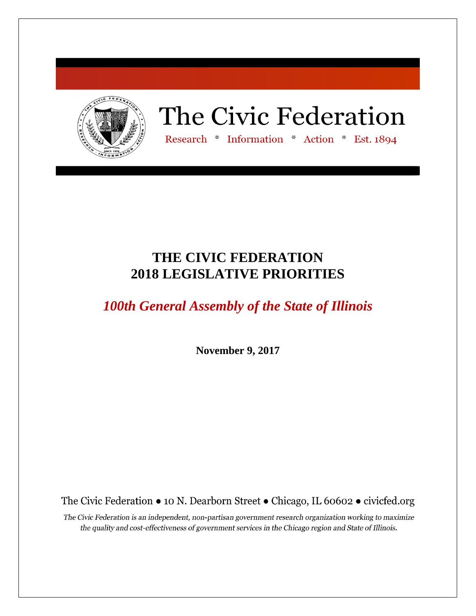

# The Civic Federation

Research \* Information \* Action \* Est. 1894

# **THE CIVIC FEDERATION 2018 LEGISLATIVE PRIORITIES**

*100th General Assembly of the State of Illinois*

**November 9, 2017**

The Civic Federation • 10 N. Dearborn Street • Chicago, IL 60602 • civicfed.org

The Civic Federation is an independent, non-partisan government research organization working to maximize the quality and cost-effectiveness of government services in the Chicago region and State of Illinois.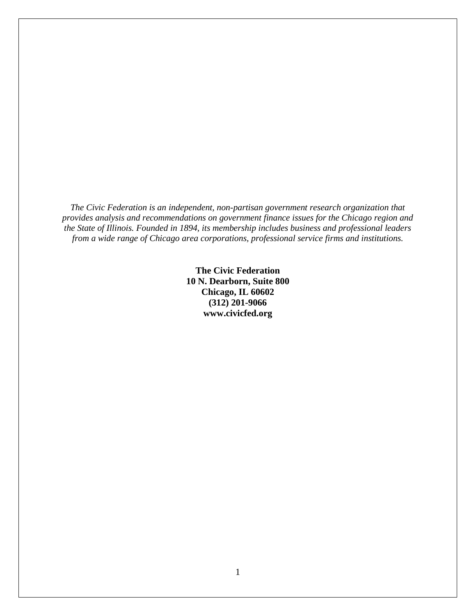*The Civic Federation is an independent, non-partisan government research organization that provides analysis and recommendations on government finance issues for the Chicago region and the State of Illinois. Founded in 1894, its membership includes business and professional leaders from a wide range of Chicago area corporations, professional service firms and institutions.*

> **The Civic Federation 10 N. Dearborn, Suite 800 Chicago, IL 60602 (312) 201-9066 www.civicfed.org**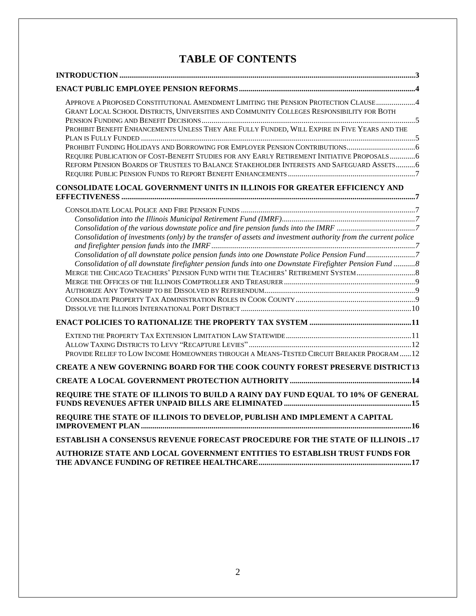# **TABLE OF CONTENTS**

| APPROVE A PROPOSED CONSTITUTIONAL AMENDMENT LIMITING THE PENSION PROTECTION CLAUSE4<br>GRANT LOCAL SCHOOL DISTRICTS, UNIVERSITIES AND COMMUNITY COLLEGES RESPONSIBILITY FOR BOTH<br>PROHIBIT BENEFIT ENHANCEMENTS UNLESS THEY ARE FULLY FUNDED, WILL EXPIRE IN FIVE YEARS AND THE<br>REQUIRE PUBLICATION OF COST-BENEFIT STUDIES FOR ANY EARLY RETIREMENT INITIATIVE PROPOSALS 6<br>REFORM PENSION BOARDS OF TRUSTEES TO BALANCE STAKEHOLDER INTERESTS AND SAFEGUARD ASSETS 6 |
|-------------------------------------------------------------------------------------------------------------------------------------------------------------------------------------------------------------------------------------------------------------------------------------------------------------------------------------------------------------------------------------------------------------------------------------------------------------------------------|
| CONSOLIDATE LOCAL GOVERNMENT UNITS IN ILLINOIS FOR GREATER EFFICIENCY AND                                                                                                                                                                                                                                                                                                                                                                                                     |
| Consolidation of investments (only) by the transfer of assets and investment authority from the current police<br>Consolidation of all downstate police pension funds into one Downstate Police Pension Fund7<br>Consolidation of all downstate firefighter pension funds into one Downstate Firefighter Pension Fund 8<br>MERGE THE CHICAGO TEACHERS' PENSION FUND WITH THE TEACHERS' RETIREMENT SYSTEM                                                                      |
|                                                                                                                                                                                                                                                                                                                                                                                                                                                                               |
| PROVIDE RELIEF TO LOW INCOME HOMEOWNERS THROUGH A MEANS-TESTED CIRCUIT BREAKER PROGRAM12                                                                                                                                                                                                                                                                                                                                                                                      |
| <b>CREATE A NEW GOVERNING BOARD FOR THE COOK COUNTY FOREST PRESERVE DISTRICT13</b>                                                                                                                                                                                                                                                                                                                                                                                            |
|                                                                                                                                                                                                                                                                                                                                                                                                                                                                               |
| REQUIRE THE STATE OF ILLINOIS TO BUILD A RAINY DAY FUND EQUAL TO 10% OF GENERAL                                                                                                                                                                                                                                                                                                                                                                                               |
| REQUIRE THE STATE OF ILLINOIS TO DEVELOP, PUBLISH AND IMPLEMENT A CAPITAL                                                                                                                                                                                                                                                                                                                                                                                                     |
| <b>ESTABLISH A CONSENSUS REVENUE FORECAST PROCEDURE FOR THE STATE OF ILLINOIS 17</b>                                                                                                                                                                                                                                                                                                                                                                                          |
| AUTHORIZE STATE AND LOCAL GOVERNMENT ENTITIES TO ESTABLISH TRUST FUNDS FOR                                                                                                                                                                                                                                                                                                                                                                                                    |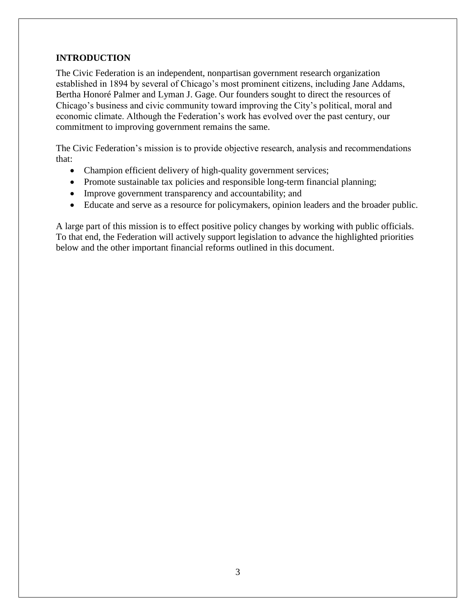# <span id="page-3-0"></span>**INTRODUCTION**

The Civic Federation is an independent, nonpartisan government research organization established in 1894 by several of Chicago's most prominent citizens, including Jane Addams, Bertha Honoré Palmer and Lyman J. Gage. Our founders sought to direct the resources of Chicago's business and civic community toward improving the City's political, moral and economic climate. Although the Federation's work has evolved over the past century, our commitment to improving government remains the same.

The Civic Federation's mission is to provide objective research, analysis and recommendations that:

- Champion efficient delivery of high-quality government services;
- Promote sustainable tax policies and responsible long-term financial planning;
- Improve government transparency and accountability; and
- Educate and serve as a resource for policymakers, opinion leaders and the broader public.

A large part of this mission is to effect positive policy changes by working with public officials. To that end, the Federation will actively support legislation to advance the highlighted priorities below and the other important financial reforms outlined in this document.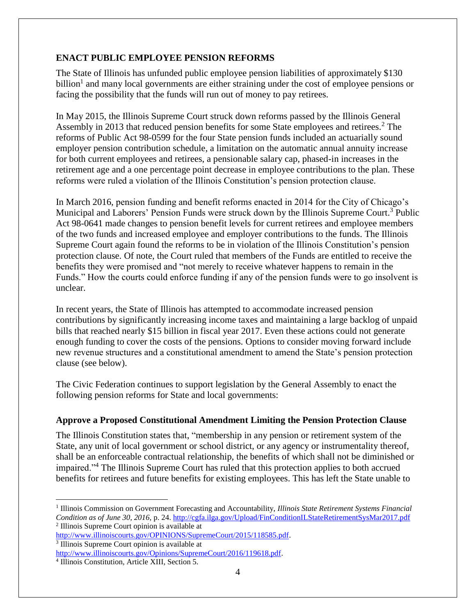# <span id="page-4-0"></span>**ENACT PUBLIC EMPLOYEE PENSION REFORMS**

The State of Illinois has unfunded public employee pension liabilities of approximately \$130 billion<sup>1</sup> and many local governments are either straining under the cost of employee pensions or facing the possibility that the funds will run out of money to pay retirees.

In May 2015, the Illinois Supreme Court struck down reforms passed by the Illinois General Assembly in 2013 that reduced pension benefits for some State employees and retirees.<sup>2</sup> The reforms of Public Act 98-0599 for the four State pension funds included an actuarially sound employer pension contribution schedule, a limitation on the automatic annual annuity increase for both current employees and retirees, a pensionable salary cap, phased-in increases in the retirement age and a one percentage point decrease in employee contributions to the plan. These reforms were ruled a violation of the Illinois Constitution's pension protection clause.

In March 2016, pension funding and benefit reforms enacted in 2014 for the City of Chicago's Municipal and Laborers' Pension Funds were struck down by the Illinois Supreme Court.<sup>3</sup> Public Act 98-0641 made changes to pension benefit levels for current retirees and employee members of the two funds and increased employee and employer contributions to the funds. The Illinois Supreme Court again found the reforms to be in violation of the Illinois Constitution's pension protection clause. Of note, the Court ruled that members of the Funds are entitled to receive the benefits they were promised and "not merely to receive whatever happens to remain in the Funds." How the courts could enforce funding if any of the pension funds were to go insolvent is unclear.

In recent years, the State of Illinois has attempted to accommodate increased pension contributions by significantly increasing income taxes and maintaining a large backlog of unpaid bills that reached nearly \$15 billion in fiscal year 2017. Even these actions could not generate enough funding to cover the costs of the pensions. Options to consider moving forward include new revenue structures and a constitutional amendment to amend the State's pension protection clause (see below).

The Civic Federation continues to support legislation by the General Assembly to enact the following pension reforms for State and local governments:

# <span id="page-4-1"></span>**Approve a Proposed Constitutional Amendment Limiting the Pension Protection Clause**

The Illinois Constitution states that, "membership in any pension or retirement system of the State, any unit of local government or school district, or any agency or instrumentality thereof, shall be an enforceable contractual relationship, the benefits of which shall not be diminished or impaired."<sup>4</sup> The Illinois Supreme Court has ruled that this protection applies to both accrued benefits for retirees and future benefits for existing employees. This has left the State unable to

<sup>&</sup>lt;sup>1</sup> Illinois Commission on Government Forecasting and Accountability, *Illinois State Retirement Systems Financial Condition as of June 30, 2016,* p. 24[. http://cgfa.ilga.gov/Upload/FinConditionILStateRetirementSysMar2017.pdf](http://cgfa.ilga.gov/Upload/FinConditionILStateRetirementSysMar2017.pdf)  2 Illinois Supreme Court opinion is available at

[http://www.illinoiscourts.gov/OPINIONS/SupremeCourt/2015/118585.pdf.](http://www.illinoiscourts.gov/OPINIONS/SupremeCourt/2015/118585.pdf)

<sup>3</sup> Illinois Supreme Court opinion is available at

[http://www.illinoiscourts.gov/Opinions/SupremeCourt/2016/119618.pdf.](http://www.illinoiscourts.gov/Opinions/SupremeCourt/2016/119618.pdf)

<sup>4</sup> Illinois Constitution, Article XIII, Section 5.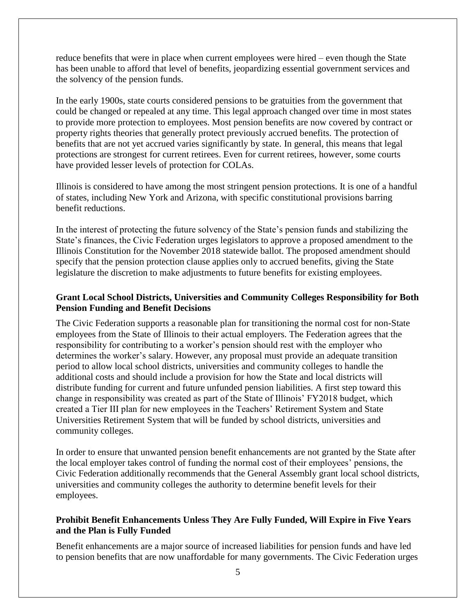reduce benefits that were in place when current employees were hired – even though the State has been unable to afford that level of benefits, jeopardizing essential government services and the solvency of the pension funds.

In the early 1900s, state courts considered pensions to be gratuities from the government that could be changed or repealed at any time. This legal approach changed over time in most states to provide more protection to employees. Most pension benefits are now covered by contract or property rights theories that generally protect previously accrued benefits. The protection of benefits that are not yet accrued varies significantly by state. In general, this means that legal protections are strongest for current retirees. Even for current retirees, however, some courts have provided lesser levels of protection for COLAs.

Illinois is considered to have among the most stringent pension protections. It is one of a handful of states, including New York and Arizona, with specific constitutional provisions barring benefit reductions.

In the interest of protecting the future solvency of the State's pension funds and stabilizing the State's finances, the Civic Federation urges legislators to approve a proposed amendment to the Illinois Constitution for the November 2018 statewide ballot. The proposed amendment should specify that the pension protection clause applies only to accrued benefits, giving the State legislature the discretion to make adjustments to future benefits for existing employees.

#### <span id="page-5-0"></span>**Grant Local School Districts, Universities and Community Colleges Responsibility for Both Pension Funding and Benefit Decisions**

The Civic Federation supports a reasonable plan for transitioning the normal cost for non-State employees from the State of Illinois to their actual employers. The Federation agrees that the responsibility for contributing to a worker's pension should rest with the employer who determines the worker's salary. However, any proposal must provide an adequate transition period to allow local school districts, universities and community colleges to handle the additional costs and should include a provision for how the State and local districts will distribute funding for current and future unfunded pension liabilities. A first step toward this change in responsibility was created as part of the State of Illinois' FY2018 budget, which created a Tier III plan for new employees in the Teachers' Retirement System and State Universities Retirement System that will be funded by school districts, universities and community colleges.

In order to ensure that unwanted pension benefit enhancements are not granted by the State after the local employer takes control of funding the normal cost of their employees' pensions, the Civic Federation additionally recommends that the General Assembly grant local school districts, universities and community colleges the authority to determine benefit levels for their employees.

#### <span id="page-5-1"></span>**Prohibit Benefit Enhancements Unless They Are Fully Funded, Will Expire in Five Years and the Plan is Fully Funded**

Benefit enhancements are a major source of increased liabilities for pension funds and have led to pension benefits that are now unaffordable for many governments. The Civic Federation urges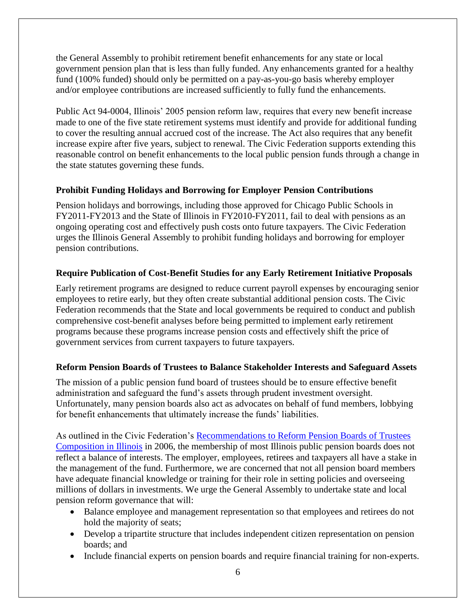the General Assembly to prohibit retirement benefit enhancements for any state or local government pension plan that is less than fully funded. Any enhancements granted for a healthy fund (100% funded) should only be permitted on a pay-as-you-go basis whereby employer and/or employee contributions are increased sufficiently to fully fund the enhancements.

Public Act 94-0004, Illinois' 2005 pension reform law, requires that every new benefit increase made to one of the five state retirement systems must identify and provide for additional funding to cover the resulting annual accrued cost of the increase. The Act also requires that any benefit increase expire after five years, subject to renewal. The Civic Federation supports extending this reasonable control on benefit enhancements to the local public pension funds through a change in the state statutes governing these funds.

# <span id="page-6-0"></span>**Prohibit Funding Holidays and Borrowing for Employer Pension Contributions**

Pension holidays and borrowings, including those approved for Chicago Public Schools in FY2011-FY2013 and the State of Illinois in FY2010-FY2011, fail to deal with pensions as an ongoing operating cost and effectively push costs onto future taxpayers. The Civic Federation urges the Illinois General Assembly to prohibit funding holidays and borrowing for employer pension contributions.

# <span id="page-6-1"></span>**Require Publication of Cost-Benefit Studies for any Early Retirement Initiative Proposals**

Early retirement programs are designed to reduce current payroll expenses by encouraging senior employees to retire early, but they often create substantial additional pension costs. The Civic Federation recommends that the State and local governments be required to conduct and publish comprehensive cost-benefit analyses before being permitted to implement early retirement programs because these programs increase pension costs and effectively shift the price of government services from current taxpayers to future taxpayers.

# <span id="page-6-2"></span>**Reform Pension Boards of Trustees to Balance Stakeholder Interests and Safeguard Assets**

The mission of a public pension fund board of trustees should be to ensure effective benefit administration and safeguard the fund's assets through prudent investment oversight. Unfortunately, many pension boards also act as advocates on behalf of fund members, lobbying for benefit enhancements that ultimately increase the funds' liabilities.

As outlined in the Civic Federation's [Recommendations to Reform Pension Boards of Trustees](https://www.civicfed.org/sites/default/files/civicfed_203.pdf)  [Composition in Illinois](https://www.civicfed.org/sites/default/files/civicfed_203.pdf) in 2006, the membership of most Illinois public pension boards does not reflect a balance of interests. The employer, employees, retirees and taxpayers all have a stake in the management of the fund. Furthermore, we are concerned that not all pension board members have adequate financial knowledge or training for their role in setting policies and overseeing millions of dollars in investments. We urge the General Assembly to undertake state and local pension reform governance that will:

- Balance employee and management representation so that employees and retirees do not hold the majority of seats;
- Develop a tripartite structure that includes independent citizen representation on pension boards; and
- Include financial experts on pension boards and require financial training for non-experts.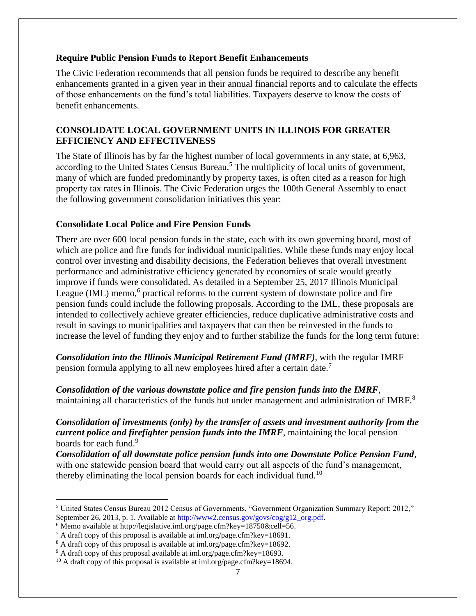#### <span id="page-7-0"></span>**Require Public Pension Funds to Report Benefit Enhancements**

The Civic Federation recommends that all pension funds be required to describe any benefit enhancements granted in a given year in their annual financial reports and to calculate the effects of those enhancements on the fund's total liabilities. Taxpayers deserve to know the costs of benefit enhancements.

# <span id="page-7-1"></span>**CONSOLIDATE LOCAL GOVERNMENT UNITS IN ILLINOIS FOR GREATER EFFICIENCY AND EFFECTIVENESS**

The State of Illinois has by far the highest number of local governments in any state, at 6,963, according to the United States Census Bureau.<sup>5</sup> The multiplicity of local units of government, many of which are funded predominantly by property taxes, is often cited as a reason for high property tax rates in Illinois. The Civic Federation urges the 100th General Assembly to enact the following government consolidation initiatives this year:

#### <span id="page-7-2"></span>**Consolidate Local Police and Fire Pension Funds**

There are over 600 local pension funds in the state, each with its own governing board, most of which are police and fire funds for individual municipalities. While these funds may enjoy local control over investing and disability decisions, the Federation believes that overall investment performance and administrative efficiency generated by economies of scale would greatly improve if funds were consolidated. As detailed in a September 25, 2017 Illinois Municipal League (IML) memo,<sup>6</sup> practical reforms to the current system of downstate police and fire pension funds could include the following proposals. According to the IML, these proposals are intended to collectively achieve greater efficiencies, reduce duplicative administrative costs and result in savings to municipalities and taxpayers that can then be reinvested in the funds to increase the level of funding they enjoy and to further stabilize the funds for the long term future:

<span id="page-7-3"></span>*Consolidation into the Illinois Municipal Retirement Fund (IMRF)*, with the regular IMRF pension formula applying to all new employees hired after a certain date.<sup>7</sup>

<span id="page-7-4"></span>*Consolidation of the various downstate police and fire pension funds into the IMRF*, maintaining all characteristics of the funds but under management and administration of IMRF.<sup>8</sup>

<span id="page-7-5"></span>*Consolidation of investments (only) by the transfer of assets and investment authority from the current police and firefighter pension funds into the IMRF*, maintaining the local pension boards for each fund.<sup>9</sup>

<span id="page-7-6"></span>*Consolidation of all downstate police pension funds into one Downstate Police Pension Fund*, with one statewide pension board that would carry out all aspects of the fund's management, thereby eliminating the local pension boards for each individual fund.<sup>10</sup>

<sup>5</sup> United States Census Bureau 2012 Census of Governments, "Government Organization Summary Report: 2012," September 26, 2013, p. 1. Available at [http://www2.census.gov/govs/cog/g12\\_org.pdf.](http://www2.census.gov/govs/cog/g12_org.pdf)

<sup>&</sup>lt;sup>6</sup> Memo available at http://legislative.iml.org/page.cfm?key=18750&cell=56.

<sup>7</sup> A draft copy of this proposal is available at iml.org/page.cfm?key=18691.

<sup>8</sup> A draft copy of this proposal is available at iml.org/page.cfm?key=18692.

<sup>&</sup>lt;sup>9</sup> A draft copy of this proposal available at iml.org/page.cfm?key=18693.

<sup>&</sup>lt;sup>10</sup> A draft copy of this proposal is available at iml.org/page.cfm?key=18694.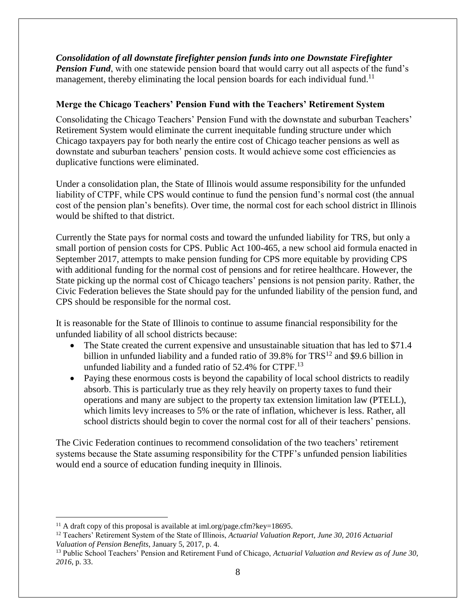<span id="page-8-0"></span>*Consolidation of all downstate firefighter pension funds into one Downstate Firefighter Pension Fund*, with one statewide pension board that would carry out all aspects of the fund's management, thereby eliminating the local pension boards for each individual fund.<sup>11</sup>

# <span id="page-8-1"></span>**Merge the Chicago Teachers' Pension Fund with the Teachers' Retirement System**

Consolidating the Chicago Teachers' Pension Fund with the downstate and suburban Teachers' Retirement System would eliminate the current inequitable funding structure under which Chicago taxpayers pay for both nearly the entire cost of Chicago teacher pensions as well as downstate and suburban teachers' pension costs. It would achieve some cost efficiencies as duplicative functions were eliminated.

Under a consolidation plan, the State of Illinois would assume responsibility for the unfunded liability of CTPF, while CPS would continue to fund the pension fund's normal cost (the annual cost of the pension plan's benefits). Over time, the normal cost for each school district in Illinois would be shifted to that district.

Currently the State pays for normal costs and toward the unfunded liability for TRS, but only a small portion of pension costs for CPS. Public Act 100-465, a new school aid formula enacted in September 2017, attempts to make pension funding for CPS more equitable by providing CPS with additional funding for the normal cost of pensions and for retiree healthcare. However, the State picking up the normal cost of Chicago teachers' pensions is not pension parity. Rather, the Civic Federation believes the State should pay for the unfunded liability of the pension fund, and CPS should be responsible for the normal cost.

It is reasonable for the State of Illinois to continue to assume financial responsibility for the unfunded liability of all school districts because:

- The State created the current expensive and unsustainable situation that has led to \$71.4 billion in unfunded liability and a funded ratio of  $39.8\%$  for TRS<sup>12</sup> and \$9.6 billion in unfunded liability and a funded ratio of  $52.4\%$  for CTPF.<sup>13</sup>
- Paying these enormous costs is beyond the capability of local school districts to readily absorb. This is particularly true as they rely heavily on property taxes to fund their operations and many are subject to the property tax extension limitation law (PTELL), which limits levy increases to 5% or the rate of inflation, whichever is less. Rather, all school districts should begin to cover the normal cost for all of their teachers' pensions.

The Civic Federation continues to recommend consolidation of the two teachers' retirement systems because the State assuming responsibility for the CTPF's unfunded pension liabilities would end a source of education funding inequity in Illinois.

<sup>&</sup>lt;sup>11</sup> A draft copy of this proposal is available at iml.org/page.cfm?key=18695.

<sup>12</sup> Teachers' Retirement System of the State of Illinois, *Actuarial Valuation Report, June 30, 2016 Actuarial Valuation of Pension Benefits*, January 5, 2017, p. 4.

<sup>13</sup> Public School Teachers' Pension and Retirement Fund of Chicago, *Actuarial Valuation and Review as of June 30, 2016*, p. 33.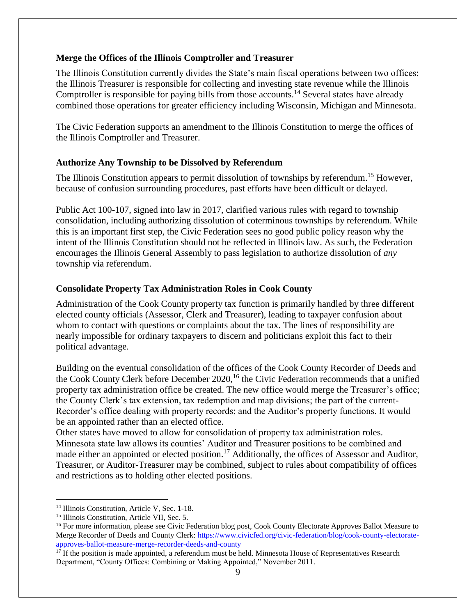#### <span id="page-9-0"></span>**Merge the Offices of the Illinois Comptroller and Treasurer**

The Illinois Constitution currently divides the State's main fiscal operations between two offices: the Illinois Treasurer is responsible for collecting and investing state revenue while the Illinois Comptroller is responsible for paying bills from those accounts.<sup>14</sup> Several states have already combined those operations for greater efficiency including Wisconsin, Michigan and Minnesota.

The Civic Federation supports an amendment to the Illinois Constitution to merge the offices of the Illinois Comptroller and Treasurer.

#### <span id="page-9-1"></span>**Authorize Any Township to be Dissolved by Referendum**

The Illinois Constitution appears to permit dissolution of townships by referendum.<sup>15</sup> However, because of confusion surrounding procedures, past efforts have been difficult or delayed.

Public Act 100-107, signed into law in 2017, clarified various rules with regard to township consolidation, including authorizing dissolution of coterminous townships by referendum. While this is an important first step, the Civic Federation sees no good public policy reason why the intent of the Illinois Constitution should not be reflected in Illinois law. As such, the Federation encourages the Illinois General Assembly to pass legislation to authorize dissolution of *any* township via referendum.

# <span id="page-9-2"></span>**Consolidate Property Tax Administration Roles in Cook County**

Administration of the Cook County property tax function is primarily handled by three different elected county officials (Assessor, Clerk and Treasurer), leading to taxpayer confusion about whom to contact with questions or complaints about the tax. The lines of responsibility are nearly impossible for ordinary taxpayers to discern and politicians exploit this fact to their political advantage.

Building on the eventual consolidation of the offices of the Cook County Recorder of Deeds and the Cook County Clerk before December 2020,<sup>16</sup> the Civic Federation recommends that a unified property tax administration office be created. The new office would merge the Treasurer's office; the County Clerk's tax extension, tax redemption and map divisions; the part of the current-Recorder's office dealing with property records; and the Auditor's property functions. It would be an appointed rather than an elected office.

Other states have moved to allow for consolidation of property tax administration roles. Minnesota state law allows its counties' Auditor and Treasurer positions to be combined and made either an appointed or elected position.<sup>17</sup> Additionally, the offices of Assessor and Auditor, Treasurer, or Auditor-Treasurer may be combined, subject to rules about compatibility of offices and restrictions as to holding other elected positions.

<sup>&</sup>lt;sup>14</sup> Illinois Constitution, Article V, Sec. 1-18.

<sup>&</sup>lt;sup>15</sup> Illinois Constitution, Article VII, Sec. 5.

<sup>&</sup>lt;sup>16</sup> For more information, please see Civic Federation blog post, Cook County Electorate Approves Ballot Measure to Merge Recorder of Deeds and County Clerk: [https://www.civicfed.org/civic-federation/blog/cook-county-electorate](https://www.civicfed.org/civic-federation/blog/cook-county-electorate-approves-ballot-measure-merge-recorder-deeds-and-county)[approves-ballot-measure-merge-recorder-deeds-and-county](https://www.civicfed.org/civic-federation/blog/cook-county-electorate-approves-ballot-measure-merge-recorder-deeds-and-county)

 $17$  If the position is made appointed, a referendum must be held. Minnesota House of Representatives Research Department, "County Offices: Combining or Making Appointed," November 2011.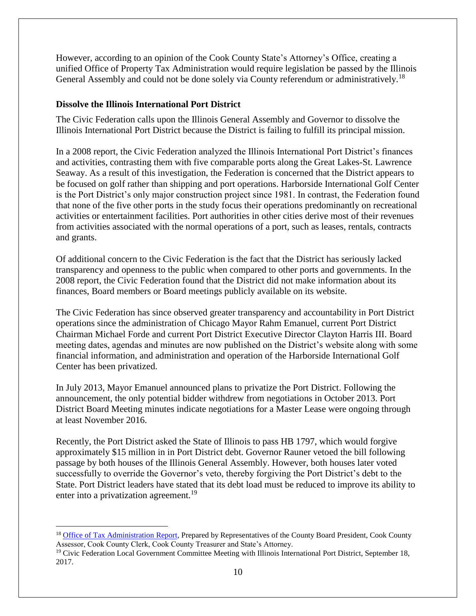However, according to an opinion of the Cook County State's Attorney's Office, creating a unified Office of Property Tax Administration would require legislation be passed by the Illinois General Assembly and could not be done solely via County referendum or administratively.<sup>18</sup>

#### <span id="page-10-0"></span>**Dissolve the Illinois International Port District**

 $\overline{a}$ 

The Civic Federation calls upon the Illinois General Assembly and Governor to dissolve the Illinois International Port District because the District is failing to fulfill its principal mission.

In a 2008 report, the Civic Federation analyzed the Illinois International Port District's finances and activities, contrasting them with five comparable ports along the Great Lakes-St. Lawrence Seaway. As a result of this investigation, the Federation is concerned that the District appears to be focused on golf rather than shipping and port operations. Harborside International Golf Center is the Port District's only major construction project since 1981. In contrast, the Federation found that none of the five other ports in the study focus their operations predominantly on recreational activities or entertainment facilities. Port authorities in other cities derive most of their revenues from activities associated with the normal operations of a port, such as leases, rentals, contracts and grants.

Of additional concern to the Civic Federation is the fact that the District has seriously lacked transparency and openness to the public when compared to other ports and governments. In the 2008 report, the Civic Federation found that the District did not make information about its finances, Board members or Board meetings publicly available on its website.

The Civic Federation has since observed greater transparency and accountability in Port District operations since the administration of Chicago Mayor Rahm Emanuel, current Port District Chairman Michael Forde and current Port District Executive Director Clayton Harris III. Board meeting dates, agendas and minutes are now published on the District's website along with some financial information, and administration and operation of the Harborside International Golf Center has been privatized.

In July 2013, Mayor Emanuel announced plans to privatize the Port District. Following the announcement, the only potential bidder withdrew from negotiations in October 2013. Port District Board Meeting minutes indicate negotiations for a Master Lease were ongoing through at least November 2016.

Recently, the Port District asked the State of Illinois to pass HB 1797, which would forgive approximately \$15 million in in Port District debt. Governor Rauner vetoed the bill following passage by both houses of the Illinois General Assembly. However, both houses later voted successfully to override the Governor's veto, thereby forgiving the Port District's debt to the State. Port District leaders have stated that its debt load must be reduced to improve its ability to enter into a privatization agreement.<sup>19</sup>

<sup>&</sup>lt;sup>18</sup> [Office of Tax Administration Report,](http://www.suffredin.org/PDFs/2012-07_OfficeOfTaxAdministratorReport.pdf) Prepared by Representatives of the County Board President, Cook County Assessor, Cook County Clerk, Cook County Treasurer and State's Attorney.

<sup>&</sup>lt;sup>19</sup> Civic Federation Local Government Committee Meeting with Illinois International Port District, September 18, 2017.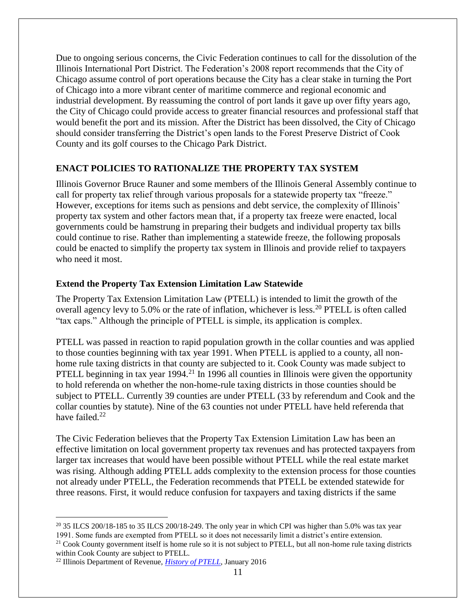Due to ongoing serious concerns, the Civic Federation continues to call for the dissolution of the Illinois International Port District. The Federation's 2008 report recommends that the City of Chicago assume control of port operations because the City has a clear stake in turning the Port of Chicago into a more vibrant center of maritime commerce and regional economic and industrial development. By reassuming the control of port lands it gave up over fifty years ago, the City of Chicago could provide access to greater financial resources and professional staff that would benefit the port and its mission. After the District has been dissolved, the City of Chicago should consider transferring the District's open lands to the Forest Preserve District of Cook County and its golf courses to the Chicago Park District.

#### <span id="page-11-0"></span>**ENACT POLICIES TO RATIONALIZE THE PROPERTY TAX SYSTEM**

Illinois Governor Bruce Rauner and some members of the Illinois General Assembly continue to call for property tax relief through various proposals for a statewide property tax "freeze." However, exceptions for items such as pensions and debt service, the complexity of Illinois' property tax system and other factors mean that, if a property tax freeze were enacted, local governments could be hamstrung in preparing their budgets and individual property tax bills could continue to rise. Rather than implementing a statewide freeze, the following proposals could be enacted to simplify the property tax system in Illinois and provide relief to taxpayers who need it most.

#### <span id="page-11-1"></span>**Extend the Property Tax Extension Limitation Law Statewide**

The Property Tax Extension Limitation Law (PTELL) is intended to limit the growth of the overall agency levy to 5.0% or the rate of inflation, whichever is less.<sup>20</sup> PTELL is often called "tax caps." Although the principle of PTELL is simple, its application is complex.

PTELL was passed in reaction to rapid population growth in the collar counties and was applied to those counties beginning with tax year 1991. When PTELL is applied to a county, all nonhome rule taxing districts in that county are subjected to it. Cook County was made subject to PTELL beginning in tax year  $1994<sup>21</sup>$  In 1996 all counties in Illinois were given the opportunity to hold referenda on whether the non-home-rule taxing districts in those counties should be subject to PTELL. Currently 39 counties are under PTELL (33 by referendum and Cook and the collar counties by statute). Nine of the 63 counties not under PTELL have held referenda that have failed.<sup>22</sup>

The Civic Federation believes that the Property Tax Extension Limitation Law has been an effective limitation on local government property tax revenues and has protected taxpayers from larger tax increases that would have been possible without PTELL while the real estate market was rising. Although adding PTELL adds complexity to the extension process for those counties not already under PTELL, the Federation recommends that PTELL be extended statewide for three reasons. First, it would reduce confusion for taxpayers and taxing districts if the same

 $\overline{a}$ <sup>20</sup> 35 ILCS 200/18-185 to 35 ILCS 200/18-249. The only year in which CPI was higher than 5.0% was tax year 1991. Some funds are exempted from PTELL so it does not necessarily limit a district's entire extension.

 $21$  Cook County government itself is home rule so it is not subject to PTELL, but all non-home rule taxing districts within Cook County are subject to PTELL.

<sup>22</sup> Illinois Department of Revenue, *[History of PTELL](http://tax.illinois.gov/LocalGovernment/PropertyTax/PTELLcounties.pdf)*, January 2016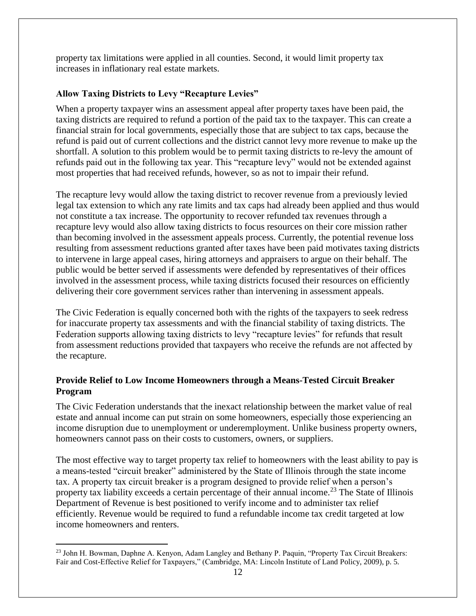property tax limitations were applied in all counties. Second, it would limit property tax increases in inflationary real estate markets.

# <span id="page-12-0"></span>**Allow Taxing Districts to Levy "Recapture Levies"**

When a property taxpayer wins an assessment appeal after property taxes have been paid, the taxing districts are required to refund a portion of the paid tax to the taxpayer. This can create a financial strain for local governments, especially those that are subject to tax caps, because the refund is paid out of current collections and the district cannot levy more revenue to make up the shortfall. A solution to this problem would be to permit taxing districts to re-levy the amount of refunds paid out in the following tax year. This "recapture levy" would not be extended against most properties that had received refunds, however, so as not to impair their refund.

The recapture levy would allow the taxing district to recover revenue from a previously levied legal tax extension to which any rate limits and tax caps had already been applied and thus would not constitute a tax increase. The opportunity to recover refunded tax revenues through a recapture levy would also allow taxing districts to focus resources on their core mission rather than becoming involved in the assessment appeals process. Currently, the potential revenue loss resulting from assessment reductions granted after taxes have been paid motivates taxing districts to intervene in large appeal cases, hiring attorneys and appraisers to argue on their behalf. The public would be better served if assessments were defended by representatives of their offices involved in the assessment process, while taxing districts focused their resources on efficiently delivering their core government services rather than intervening in assessment appeals.

The Civic Federation is equally concerned both with the rights of the taxpayers to seek redress for inaccurate property tax assessments and with the financial stability of taxing districts. The Federation supports allowing taxing districts to levy "recapture levies" for refunds that result from assessment reductions provided that taxpayers who receive the refunds are not affected by the recapture.

# <span id="page-12-1"></span>**Provide Relief to Low Income Homeowners through a Means-Tested Circuit Breaker Program**

The Civic Federation understands that the inexact relationship between the market value of real estate and annual income can put strain on some homeowners, especially those experiencing an income disruption due to unemployment or underemployment. Unlike business property owners, homeowners cannot pass on their costs to customers, owners, or suppliers.

The most effective way to target property tax relief to homeowners with the least ability to pay is a means-tested "circuit breaker" administered by the State of Illinois through the state income tax. A property tax circuit breaker is a program designed to provide relief when a person's property tax liability exceeds a certain percentage of their annual income.<sup>23</sup> The State of Illinois Department of Revenue is best positioned to verify income and to administer tax relief efficiently. Revenue would be required to fund a refundable income tax credit targeted at low income homeowners and renters.

 $\overline{a}$ <sup>23</sup> John H. Bowman, Daphne A. Kenyon, Adam Langley and Bethany P. Paquin, "Property Tax Circuit Breakers: Fair and Cost-Effective Relief for Taxpayers," (Cambridge, MA: Lincoln Institute of Land Policy, 2009), p. 5.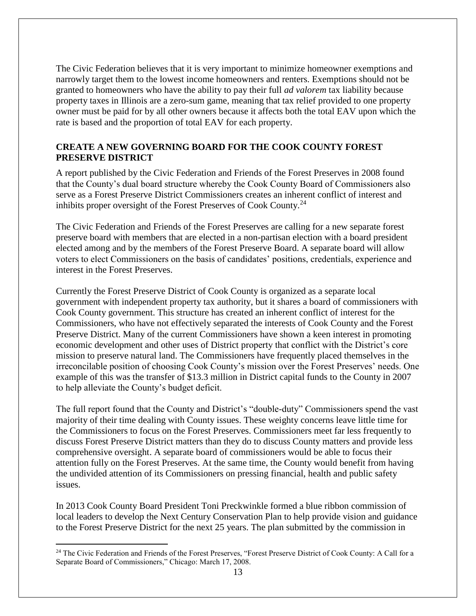The Civic Federation believes that it is very important to minimize homeowner exemptions and narrowly target them to the lowest income homeowners and renters. Exemptions should not be granted to homeowners who have the ability to pay their full *ad valorem* tax liability because property taxes in Illinois are a zero-sum game, meaning that tax relief provided to one property owner must be paid for by all other owners because it affects both the total EAV upon which the rate is based and the proportion of total EAV for each property.

# <span id="page-13-0"></span>**CREATE A NEW GOVERNING BOARD FOR THE COOK COUNTY FOREST PRESERVE DISTRICT**

A report published by the Civic Federation and Friends of the Forest Preserves in 2008 found that the County's dual board structure whereby the Cook County Board of Commissioners also serve as a Forest Preserve District Commissioners creates an inherent conflict of interest and inhibits proper oversight of the Forest Preserves of Cook County.<sup>24</sup>

The Civic Federation and Friends of the Forest Preserves are calling for a new separate forest preserve board with members that are elected in a non-partisan election with a board president elected among and by the members of the Forest Preserve Board. A separate board will allow voters to elect Commissioners on the basis of candidates' positions, credentials, experience and interest in the Forest Preserves.

Currently the Forest Preserve District of Cook County is organized as a separate local government with independent property tax authority, but it shares a board of commissioners with Cook County government. This structure has created an inherent conflict of interest for the Commissioners, who have not effectively separated the interests of Cook County and the Forest Preserve District. Many of the current Commissioners have shown a keen interest in promoting economic development and other uses of District property that conflict with the District's core mission to preserve natural land. The Commissioners have frequently placed themselves in the irreconcilable position of choosing Cook County's mission over the Forest Preserves' needs. One example of this was the transfer of \$13.3 million in District capital funds to the County in 2007 to help alleviate the County's budget deficit.

The full report found that the County and District's "double-duty" Commissioners spend the vast majority of their time dealing with County issues. These weighty concerns leave little time for the Commissioners to focus on the Forest Preserves. Commissioners meet far less frequently to discuss Forest Preserve District matters than they do to discuss County matters and provide less comprehensive oversight. A separate board of commissioners would be able to focus their attention fully on the Forest Preserves. At the same time, the County would benefit from having the undivided attention of its Commissioners on pressing financial, health and public safety issues.

In 2013 Cook County Board President Toni Preckwinkle formed a blue ribbon commission of local leaders to develop the Next Century Conservation Plan to help provide vision and guidance to the Forest Preserve District for the next 25 years. The plan submitted by the commission in

<sup>&</sup>lt;sup>24</sup> The Civic Federation and Friends of the Forest Preserves, "Forest Preserve District of Cook County: A Call for a Separate Board of Commissioners," Chicago: March 17, 2008.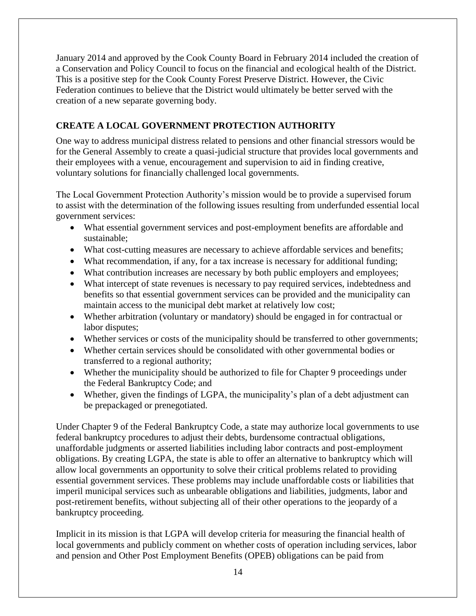January 2014 and approved by the Cook County Board in February 2014 included the creation of a Conservation and Policy Council to focus on the financial and ecological health of the District. This is a positive step for the Cook County Forest Preserve District. However, the Civic Federation continues to believe that the District would ultimately be better served with the creation of a new separate governing body.

# <span id="page-14-0"></span>**CREATE A LOCAL GOVERNMENT PROTECTION AUTHORITY**

One way to address municipal distress related to pensions and other financial stressors would be for the General Assembly to create a quasi-judicial structure that provides local governments and their employees with a venue, encouragement and supervision to aid in finding creative, voluntary solutions for financially challenged local governments.

The Local Government Protection Authority's mission would be to provide a supervised forum to assist with the determination of the following issues resulting from underfunded essential local government services:

- What essential government services and post-employment benefits are affordable and sustainable;
- What cost-cutting measures are necessary to achieve affordable services and benefits;
- What recommendation, if any, for a tax increase is necessary for additional funding;
- What contribution increases are necessary by both public employers and employees;
- What intercept of state revenues is necessary to pay required services, indebtedness and benefits so that essential government services can be provided and the municipality can maintain access to the municipal debt market at relatively low cost;
- Whether arbitration (voluntary or mandatory) should be engaged in for contractual or labor disputes;
- Whether services or costs of the municipality should be transferred to other governments;
- Whether certain services should be consolidated with other governmental bodies or transferred to a regional authority;
- Whether the municipality should be authorized to file for Chapter 9 proceedings under the Federal Bankruptcy Code; and
- Whether, given the findings of LGPA, the municipality's plan of a debt adjustment can be prepackaged or prenegotiated.

Under Chapter 9 of the Federal Bankruptcy Code, a state may authorize local governments to use federal bankruptcy procedures to adjust their debts, burdensome contractual obligations, unaffordable judgments or asserted liabilities including labor contracts and post-employment obligations. By creating LGPA, the state is able to offer an alternative to bankruptcy which will allow local governments an opportunity to solve their critical problems related to providing essential government services. These problems may include unaffordable costs or liabilities that imperil municipal services such as unbearable obligations and liabilities, judgments, labor and post-retirement benefits, without subjecting all of their other operations to the jeopardy of a bankruptcy proceeding.

Implicit in its mission is that LGPA will develop criteria for measuring the financial health of local governments and publicly comment on whether costs of operation including services, labor and pension and Other Post Employment Benefits (OPEB) obligations can be paid from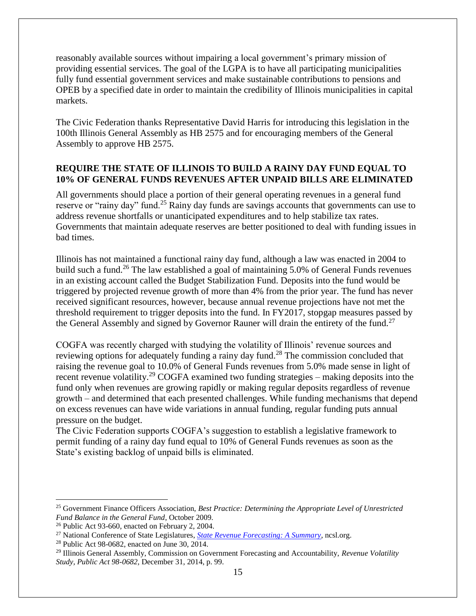reasonably available sources without impairing a local government's primary mission of providing essential services. The goal of the LGPA is to have all participating municipalities fully fund essential government services and make sustainable contributions to pensions and OPEB by a specified date in order to maintain the credibility of Illinois municipalities in capital markets.

The Civic Federation thanks Representative David Harris for introducing this legislation in the 100th Illinois General Assembly as HB 2575 and for encouraging members of the General Assembly to approve HB 2575.

# <span id="page-15-0"></span>**REQUIRE THE STATE OF ILLINOIS TO BUILD A RAINY DAY FUND EQUAL TO 10% OF GENERAL FUNDS REVENUES AFTER UNPAID BILLS ARE ELIMINATED**

All governments should place a portion of their general operating revenues in a general fund reserve or "rainy day" fund.<sup>25</sup> Rainy day funds are savings accounts that governments can use to address revenue shortfalls or unanticipated expenditures and to help stabilize tax rates. Governments that maintain adequate reserves are better positioned to deal with funding issues in bad times.

Illinois has not maintained a functional rainy day fund, although a law was enacted in 2004 to build such a fund.<sup>26</sup> The law established a goal of maintaining 5.0% of General Funds revenues in an existing account called the Budget Stabilization Fund. Deposits into the fund would be triggered by projected revenue growth of more than 4% from the prior year. The fund has never received significant resources, however, because annual revenue projections have not met the threshold requirement to trigger deposits into the fund. In FY2017, stopgap measures passed by the General Assembly and signed by Governor Rauner will drain the entirety of the fund.<sup>27</sup>

COGFA was recently charged with studying the volatility of Illinois' revenue sources and reviewing options for adequately funding a rainy day fund.<sup>28</sup> The commission concluded that raising the revenue goal to 10.0% of General Funds revenues from 5.0% made sense in light of recent revenue volatility.<sup>29</sup> COGFA examined two funding strategies – making deposits into the fund only when revenues are growing rapidly or making regular deposits regardless of revenue growth – and determined that each presented challenges. While funding mechanisms that depend on excess revenues can have wide variations in annual funding, regular funding puts annual pressure on the budget.

The Civic Federation supports COGFA's suggestion to establish a legislative framework to permit funding of a rainy day fund equal to 10% of General Funds revenues as soon as the State's existing backlog of unpaid bills is eliminated.

<sup>25</sup> Government Finance Officers Association, *Best Practice: Determining the Appropriate Level of Unrestricted Fund Balance in the General Fund*, October 2009.

<sup>26</sup> Public Act 93-660, enacted on February 2, 2004.

<sup>27</sup> National Conference of State Legislatures, *[State Revenue Forecasting: A Summary](http://www.ilga.gov/legislation/99/SB/09900SB1810lv.htm)*, ncsl.org.

<sup>28</sup> Public Act 98-0682, enacted on June 30, 2014.

<sup>29</sup> Illinois General Assembly, Commission on Government Forecasting and Accountability, *Revenue Volatility Study, Public Act 98-0682,* December 31, 2014, p. 99.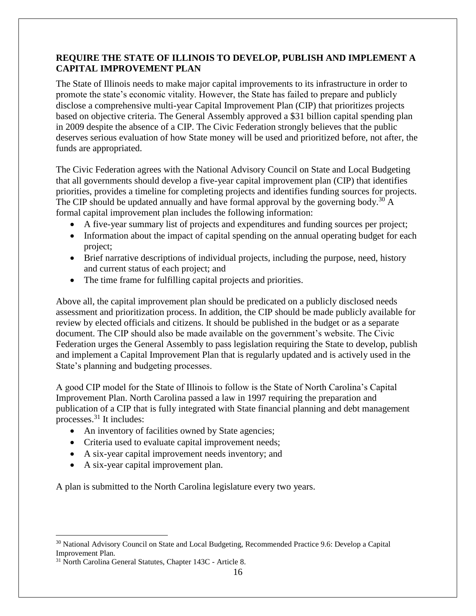# <span id="page-16-0"></span>**REQUIRE THE STATE OF ILLINOIS TO DEVELOP, PUBLISH AND IMPLEMENT A CAPITAL IMPROVEMENT PLAN**

The State of Illinois needs to make major capital improvements to its infrastructure in order to promote the state's economic vitality. However, the State has failed to prepare and publicly disclose a comprehensive multi-year Capital Improvement Plan (CIP) that prioritizes projects based on objective criteria. The General Assembly approved a \$31 billion capital spending plan in 2009 despite the absence of a CIP. The Civic Federation strongly believes that the public deserves serious evaluation of how State money will be used and prioritized before, not after, the funds are appropriated.

The Civic Federation agrees with the National Advisory Council on State and Local Budgeting that all governments should develop a five-year capital improvement plan (CIP) that identifies priorities, provides a timeline for completing projects and identifies funding sources for projects. The CIP should be updated annually and have formal approval by the governing body.<sup>30</sup> A formal capital improvement plan includes the following information:

- A five-year summary list of projects and expenditures and funding sources per project;
- Information about the impact of capital spending on the annual operating budget for each project;
- Brief narrative descriptions of individual projects, including the purpose, need, history and current status of each project; and
- The time frame for fulfilling capital projects and priorities.

Above all, the capital improvement plan should be predicated on a publicly disclosed needs assessment and prioritization process. In addition, the CIP should be made publicly available for review by elected officials and citizens. It should be published in the budget or as a separate document. The CIP should also be made available on the government's website. The Civic Federation urges the General Assembly to pass legislation requiring the State to develop, publish and implement a Capital Improvement Plan that is regularly updated and is actively used in the State's planning and budgeting processes.

A good CIP model for the State of Illinois to follow is the State of North Carolina's Capital Improvement Plan. North Carolina passed a law in 1997 requiring the preparation and publication of a CIP that is fully integrated with State financial planning and debt management processes. $31$  It includes:

- An inventory of facilities owned by State agencies;
- Criteria used to evaluate capital improvement needs;
- A six-year capital improvement needs inventory; and
- A six-year capital improvement plan.

A plan is submitted to the North Carolina legislature every two years.

<sup>30</sup> National Advisory Council on State and Local Budgeting, Recommended Practice 9.6: Develop a Capital Improvement Plan.

<sup>&</sup>lt;sup>31</sup> North Carolina General Statutes, Chapter 143C - Article 8.